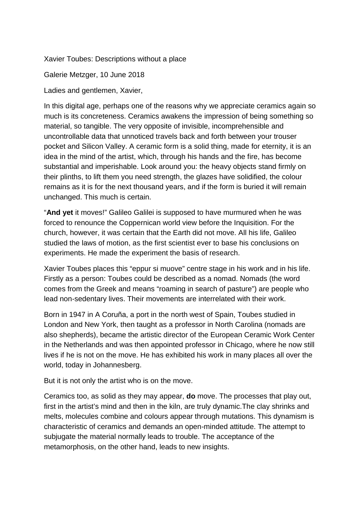Xavier Toubes: Descriptions without a place

Galerie Metzger, 10 June 2018

Ladies and gentlemen, Xavier,

In this digital age, perhaps one of the reasons why we appreciate ceramics again so much is its concreteness. Ceramics awakens the impression of being something so material, so tangible. The very opposite of invisible, incomprehensible and uncontrollable data that unnoticed travels back and forth between your trouser pocket and Silicon Valley. A ceramic form is a solid thing, made for eternity, it is an idea in the mind of the artist, which, through his hands and the fire, has become substantial and imperishable. Look around you: the heavy objects stand firmly on their plinths, to lift them you need strength, the glazes have solidified, the colour remains as it is for the next thousand years, and if the form is buried it will remain unchanged. This much is certain.

"**And yet** it moves!" Galileo Galilei is supposed to have murmured when he was forced to renounce the Coppernican world view before the Inquisition. For the church, however, it was certain that the Earth did not move. All his life, Galileo studied the laws of motion, as the first scientist ever to base his conclusions on experiments. He made the experiment the basis of research.

Xavier Toubes places this "eppur si muove" centre stage in his work and in his life. Firstly as a person: Toubes could be described as a nomad. Nomads (the word comes from the Greek and means "roaming in search of pasture") are people who lead non-sedentary lives. Their movements are interrelated with their work.

Born in 1947 in A Coruña, a port in the north west of Spain, Toubes studied in London and New York, then taught as a professor in North Carolina (nomads are also shepherds), became the artistic director of the European Ceramic Work Center in the Netherlands and was then appointed professor in Chicago, where he now still lives if he is not on the move. He has exhibited his work in many places all over the world, today in Johannesberg.

But it is not only the artist who is on the move.

Ceramics too, as solid as they may appear, **do** move. The processes that play out, first in the artist's mind and then in the kiln, are truly dynamic.The clay shrinks and melts, molecules combine and colours appear through mutations. This dynamism is characteristic of ceramics and demands an open-minded attitude. The attempt to subjugate the material normally leads to trouble. The acceptance of the metamorphosis, on the other hand, leads to new insights.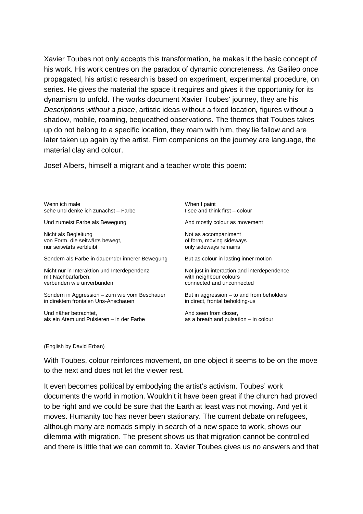Xavier Toubes not only accepts this transformation, he makes it the basic concept of his work. His work centres on the paradox of dynamic concreteness. As Galileo once propagated, his artistic research is based on experiment, experimental procedure, on series. He gives the material the space it requires and gives it the opportunity for its dynamism to unfold. The works document Xavier Toubes' journey, they are his *Descriptions without a place*, artistic ideas without a fixed location*,* figures without a shadow, mobile, roaming, bequeathed observations. The themes that Toubes takes up do not belong to a specific location, they roam with him, they lie fallow and are later taken up again by the artist. Firm companions on the journey are language, the material clay and colour.

Josef Albers, himself a migrant and a teacher wrote this poem:

| Wenn ich male                                   | When I paint                                |
|-------------------------------------------------|---------------------------------------------|
| sehe und denke ich zunächst - Farbe             | I see and think first - colour              |
| Und zumeist Farbe als Bewegung                  | And mostly colour as movement               |
| Nicht als Begleitung                            | Not as accompaniment                        |
| von Form, die seitwärts bewegt,                 | of form, moving sideways                    |
| nur seitwärts verbleibt                         | only sideways remains                       |
| Sondern als Farbe in dauernder innerer Bewegung | But as colour in lasting inner motion       |
| Nicht nur in Interaktion und Interdependenz     | Not just in interaction and interdependence |
| mit Nachbarfarben,                              | with neighbour colours                      |
| verbunden wie unverbunden                       | connected and unconnected                   |
| Sondern in Aggression - zum wie vom Beschauer   | But in aggression $-$ to and from beholders |
| in direktem frontalen Uns-Anschauen             | in direct, frontal beholding-us             |
| Und näher betrachtet,                           | And seen from closer,                       |
| als ein Atem und Pulsieren – in der Farbe       | as a breath and pulsation – in colour       |

## (English by David Erban)

With Toubes, colour reinforces movement, on one object it seems to be on the move to the next and does not let the viewer rest.

It even becomes political by embodying the artist's activism. Toubes' work documents the world in motion. Wouldn't it have been great if the church had proved to be right and we could be sure that the Earth at least was not moving. And yet it moves. Humanity too has never been stationary. The current debate on refugees, although many are nomads simply in search of a new space to work, shows our dilemma with migration. The present shows us that migration cannot be controlled and there is little that we can commit to. Xavier Toubes gives us no answers and that